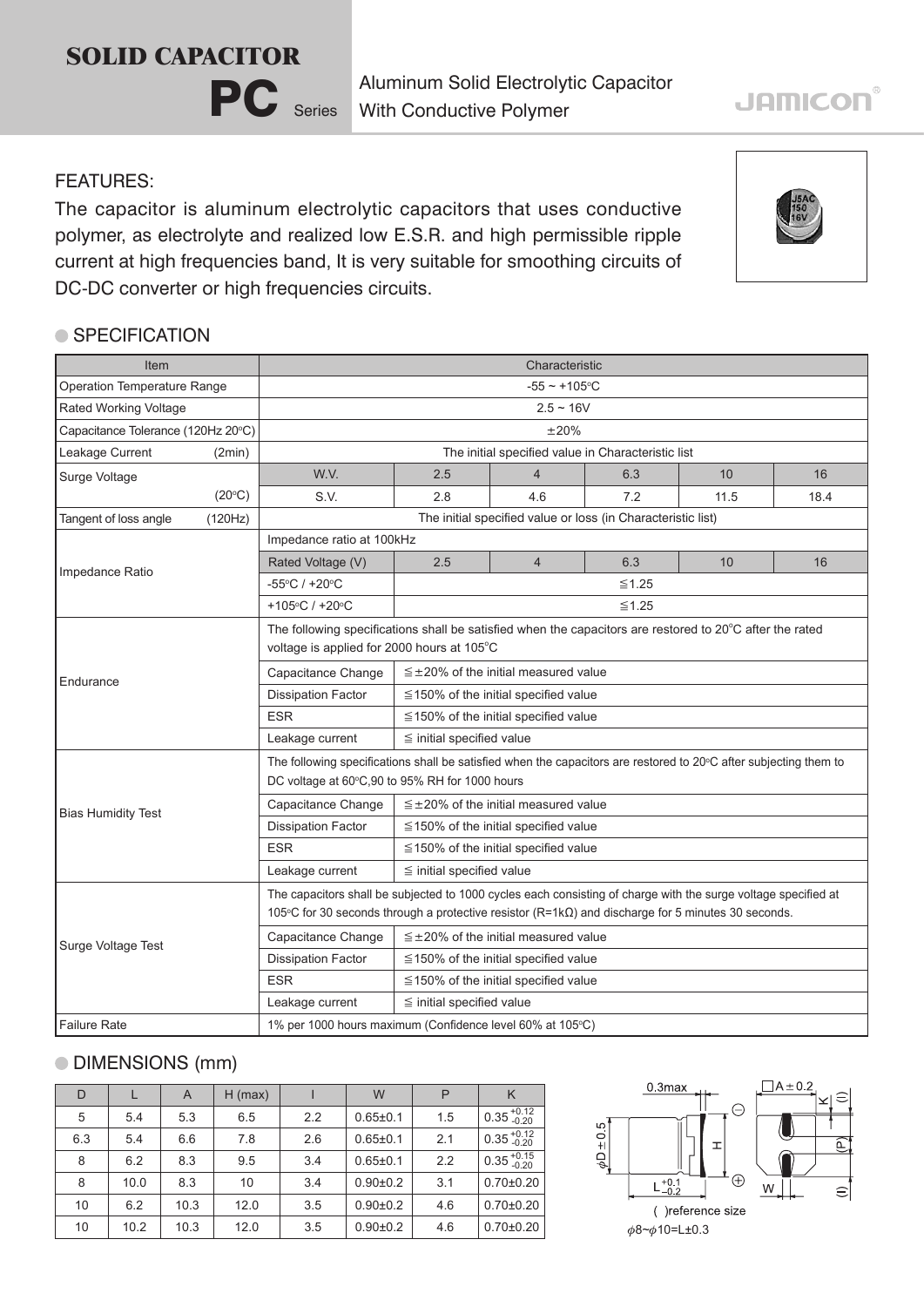## **SOLID CAPACITOR**



Aluminum Solid Electrolytic Capacitor With Conductive Polymer

### FEATURES:

The capacitor is aluminum electrolytic capacitors that uses conductive polymer, as electrolyte and realized low E.S.R. and high permissible ripple current at high frequencies band, It is very suitable for smoothing circuits of DC-DC converter or high frequencies circuits.

### ● SPECIFICATION

| Item                               |                           | Characteristic                                                                                                                                                                                                              |                                                                         |                |     |      |      |  |  |
|------------------------------------|---------------------------|-----------------------------------------------------------------------------------------------------------------------------------------------------------------------------------------------------------------------------|-------------------------------------------------------------------------|----------------|-----|------|------|--|--|
| Operation Temperature Range        |                           | $-55 - +105$ °C                                                                                                                                                                                                             |                                                                         |                |     |      |      |  |  |
| Rated Working Voltage              |                           | $2.5 \sim 16V$                                                                                                                                                                                                              |                                                                         |                |     |      |      |  |  |
| Capacitance Tolerance (120Hz 20°C) |                           | ±20%                                                                                                                                                                                                                        |                                                                         |                |     |      |      |  |  |
| Leakage Current<br>(2min)          |                           | The initial specified value in Characteristic list                                                                                                                                                                          |                                                                         |                |     |      |      |  |  |
| Surge Voltage                      |                           | W.V.                                                                                                                                                                                                                        | 2.5                                                                     | $\overline{4}$ | 6.3 | 10   | 16   |  |  |
|                                    | (20°C)                    | S.V.                                                                                                                                                                                                                        | 2.8                                                                     | 4.6            | 7.2 | 11.5 | 18.4 |  |  |
| Tangent of loss angle              | (120Hz)                   | The initial specified value or loss (in Characteristic list)                                                                                                                                                                |                                                                         |                |     |      |      |  |  |
| Impedance Ratio                    |                           | Impedance ratio at 100kHz                                                                                                                                                                                                   |                                                                         |                |     |      |      |  |  |
|                                    |                           | Rated Voltage (V)                                                                                                                                                                                                           | 2.5                                                                     | $\overline{4}$ | 6.3 | 10   | 16   |  |  |
|                                    |                           | -55°C / +20°C                                                                                                                                                                                                               | $\leq$ 1.25                                                             |                |     |      |      |  |  |
|                                    |                           | +105°C / +20°C                                                                                                                                                                                                              | $\leq 1.25$                                                             |                |     |      |      |  |  |
|                                    |                           | The following specifications shall be satisfied when the capacitors are restored to 20°C after the rated<br>voltage is applied for 2000 hours at 105°C                                                                      |                                                                         |                |     |      |      |  |  |
|                                    |                           | Capacitance Change                                                                                                                                                                                                          | $\leq \pm 20\%$ of the initial measured value                           |                |     |      |      |  |  |
| Endurance                          |                           | <b>Dissipation Factor</b>                                                                                                                                                                                                   | $\leq$ 150% of the initial specified value                              |                |     |      |      |  |  |
|                                    |                           | <b>ESR</b>                                                                                                                                                                                                                  | $\leq$ 150% of the initial specified value                              |                |     |      |      |  |  |
|                                    |                           | Leakage current                                                                                                                                                                                                             | $\leq$ initial specified value                                          |                |     |      |      |  |  |
|                                    |                           | The following specifications shall be satisfied when the capacitors are restored to 20°C after subjecting them to<br>DC voltage at 60°C,90 to 95% RH for 1000 hours                                                         |                                                                         |                |     |      |      |  |  |
|                                    |                           | Capacitance Change                                                                                                                                                                                                          | $\leq$ ±20% of the initial measured value                               |                |     |      |      |  |  |
|                                    | <b>Bias Humidity Test</b> |                                                                                                                                                                                                                             | <b>Dissipation Factor</b><br>$\leq$ 150% of the initial specified value |                |     |      |      |  |  |
|                                    |                           | <b>ESR</b>                                                                                                                                                                                                                  | $\leq$ 150% of the initial specified value                              |                |     |      |      |  |  |
|                                    |                           | Leakage current                                                                                                                                                                                                             | $\leq$ initial specified value                                          |                |     |      |      |  |  |
| Surge Voltage Test                 |                           | The capacitors shall be subjected to 1000 cycles each consisting of charge with the surge voltage specified at<br>105°C for 30 seconds through a protective resistor $(R=1k\Omega)$ and discharge for 5 minutes 30 seconds. |                                                                         |                |     |      |      |  |  |
|                                    |                           | Capacitance Change                                                                                                                                                                                                          | $\leq \pm 20\%$ of the initial measured value                           |                |     |      |      |  |  |
|                                    |                           | <b>Dissipation Factor</b>                                                                                                                                                                                                   | ≦150% of the initial specified value                                    |                |     |      |      |  |  |
|                                    |                           | <b>ESR</b>                                                                                                                                                                                                                  | $\leq$ 150% of the initial specified value                              |                |     |      |      |  |  |
|                                    |                           | Leakage current                                                                                                                                                                                                             | $\leq$ initial specified value                                          |                |     |      |      |  |  |
| <b>Failure Rate</b>                |                           | 1% per 1000 hours maximum (Confidence level 60% at 105°C)                                                                                                                                                                   |                                                                         |                |     |      |      |  |  |

## DIMENSIONS (mm)

| D   |      | A    | $H$ (max) |     | W              | P   | K                      |
|-----|------|------|-----------|-----|----------------|-----|------------------------|
| 5   | 5.4  | 5.3  | 6.5       | 2.2 | $0.65 \pm 0.1$ | 1.5 | $0.35_{-0.20}^{+0.12}$ |
| 6.3 | 5.4  | 6.6  | 7.8       | 2.6 | $0.65 \pm 0.1$ | 2.1 | $0.35_{-0.20}^{+0.12}$ |
| 8   | 6.2  | 8.3  | 9.5       | 3.4 | $0.65 \pm 0.1$ | 2.2 | $0.35_{-0.20}^{+0.15}$ |
| 8   | 10.0 | 8.3  | 10        | 3.4 | $0.90 + 0.2$   | 3.1 | $0.70 + 0.20$          |
| 10  | 6.2  | 10.3 | 12.0      | 3.5 | $0.90 + 0.2$   | 4.6 | $0.70 + 0.20$          |
| 10  | 10.2 | 10.3 | 12.0      | 3.5 | $0.90 + 0.2$   | 4.6 | $0.70 + 0.20$          |



# **JAMICON®**

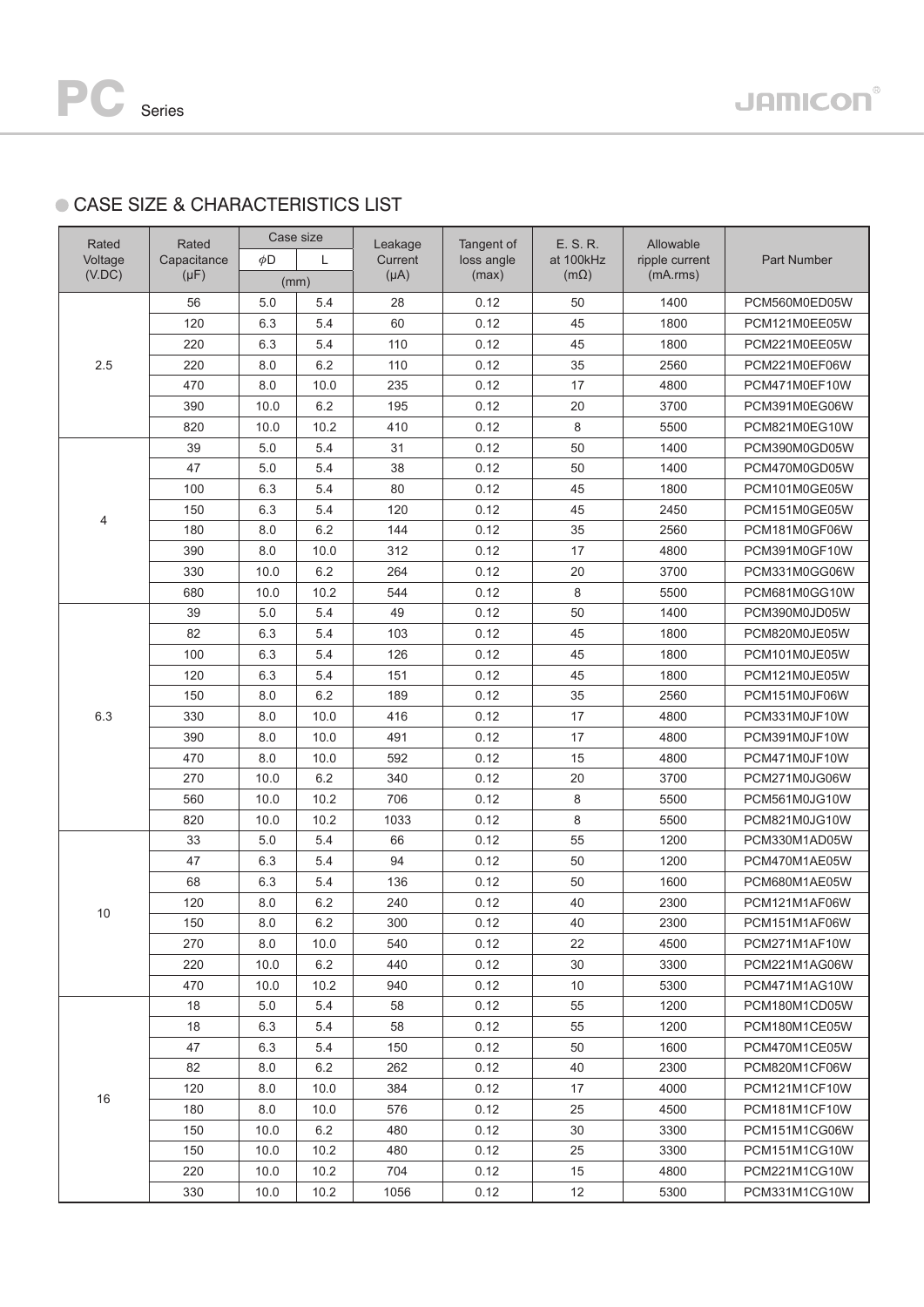## **CASE SIZE & CHARACTERISTICS LIST**

| Rated               | Rated<br>Capacitance | Case size |      | Leakage   | Tangent of<br>loss angle | E. S. R.<br>at 100kHz | Allowable<br>ripple current | Part Number   |
|---------------------|----------------------|-----------|------|-----------|--------------------------|-----------------------|-----------------------------|---------------|
| Voltage             |                      | φD<br>L   |      | Current   |                          |                       |                             |               |
| (V.DC)<br>$(\mu F)$ |                      | (mm)      |      | $(\mu A)$ | (max)                    | $(m\Omega)$           | (mA.rms)                    |               |
|                     | 56                   | 5.0       | 5.4  | 28        | 0.12                     | 50                    | 1400                        | PCM560M0ED05W |
|                     | 120                  | 6.3       | 5.4  | 60        | 0.12                     | 45                    | 1800                        | PCM121M0EE05W |
|                     | 220                  | 6.3       | 5.4  | 110       | 0.12                     | 45                    | 1800                        | PCM221M0EE05W |
| 2.5                 | 220                  | 8.0       | 6.2  | 110       | 0.12                     | 35                    | 2560                        | PCM221M0EF06W |
|                     | 470                  | 8.0       | 10.0 | 235       | 0.12                     | 17                    | 4800                        | PCM471M0EF10W |
|                     | 390                  | 10.0      | 6.2  | 195       | 0.12                     | 20                    | 3700                        | PCM391M0EG06W |
|                     | 820                  | 10.0      | 10.2 | 410       | 0.12                     | 8                     | 5500                        | PCM821M0EG10W |
|                     | 39                   | 5.0       | 5.4  | 31        | 0.12                     | 50                    | 1400                        | PCM390M0GD05W |
|                     | 47                   | 5.0       | 5.4  | 38        | 0.12                     | 50                    | 1400                        | PCM470M0GD05W |
|                     | 100                  | 6.3       | 5.4  | 80        | 0.12                     | 45                    | 1800                        | PCM101M0GE05W |
|                     | 150                  | 6.3       | 5.4  | 120       | 0.12                     | 45                    | 2450                        | PCM151M0GE05W |
| 4                   | 180                  | 8.0       | 6.2  | 144       | 0.12                     | 35                    | 2560                        | PCM181M0GF06W |
|                     | 390                  | 8.0       | 10.0 | 312       | 0.12                     | 17                    | 4800                        | PCM391M0GF10W |
|                     | 330                  | 10.0      | 6.2  | 264       | 0.12                     | 20                    | 3700                        | PCM331M0GG06W |
|                     | 680                  | 10.0      | 10.2 | 544       | 0.12                     | 8                     | 5500                        | PCM681M0GG10W |
|                     | 39                   | 5.0       | 5.4  | 49        | 0.12                     | 50                    | 1400                        | PCM390M0JD05W |
| 6.3                 | 82                   | 6.3       | 5.4  | 103       | 0.12                     | 45                    | 1800                        | PCM820M0JE05W |
|                     | 100                  | 6.3       | 5.4  | 126       | 0.12                     | 45                    | 1800                        | PCM101M0JE05W |
|                     | 120                  | 6.3       | 5.4  | 151       | 0.12                     | 45                    | 1800                        | PCM121M0JE05W |
|                     | 150                  | 8.0       | 6.2  | 189       | 0.12                     | 35                    | 2560                        | PCM151M0JF06W |
|                     | 330                  | 8.0       | 10.0 | 416       | 0.12                     | 17                    | 4800                        | PCM331M0JF10W |
|                     | 390                  | 8.0       | 10.0 | 491       | 0.12                     | 17                    | 4800                        | PCM391M0JF10W |
|                     | 470                  | 8.0       | 10.0 | 592       | 0.12                     | 15                    | 4800                        | PCM471M0JF10W |
|                     | 270                  | 10.0      | 6.2  | 340       | 0.12                     | 20                    | 3700                        | PCM271M0JG06W |
|                     | 560                  | 10.0      | 10.2 | 706       | 0.12                     | 8                     | 5500                        | PCM561M0JG10W |
|                     | 820                  | 10.0      | 10.2 | 1033      | 0.12                     | 8                     | 5500                        | PCM821M0JG10W |
| 10                  | 33                   | 5.0       | 5.4  | 66        | 0.12                     | 55                    | 1200                        | PCM330M1AD05W |
|                     | 47                   | 6.3       | 5.4  | 94        | 0.12                     | 50                    | 1200                        | PCM470M1AE05W |
|                     | 68                   | 6.3       | 5.4  | 136       | 0.12                     | 50                    | 1600                        | PCM680M1AE05W |
|                     | 120                  | 8.0       | 6.2  | 240       | 0.12                     | 40                    | 2300                        | PCM121M1AF06W |
|                     | 150                  | $8.0\,$   | 6.2  | 300       | 0.12                     | 40                    | 2300                        | PCM151M1AF06W |
|                     | 270                  | 8.0       | 10.0 | 540       | 0.12                     | 22                    | 4500                        | PCM271M1AF10W |
|                     | 220                  | 10.0      | 6.2  | 440       | 0.12                     | 30                    | 3300                        | PCM221M1AG06W |
|                     | 470                  | 10.0      | 10.2 | 940       | 0.12                     | 10                    | 5300                        | PCM471M1AG10W |
| 16                  | 18                   | 5.0       | 5.4  | 58        | 0.12                     | 55                    | 1200                        | PCM180M1CD05W |
|                     | 18                   | 6.3       | 5.4  | 58        | 0.12                     | 55                    | 1200                        | PCM180M1CE05W |
|                     | 47                   | 6.3       | 5.4  | 150       | 0.12                     | 50                    | 1600                        | PCM470M1CE05W |
|                     | 82                   | 8.0       | 6.2  | 262       | 0.12                     | 40                    | 2300                        | PCM820M1CF06W |
|                     | 120                  | 8.0       | 10.0 | 384       | 0.12                     | 17                    | 4000                        | PCM121M1CF10W |
|                     | 180                  | 8.0       | 10.0 | 576       | 0.12                     | 25                    | 4500                        | PCM181M1CF10W |
|                     | 150                  | 10.0      | 6.2  | 480       | 0.12                     | 30                    | 3300                        | PCM151M1CG06W |
|                     | 150                  | 10.0      | 10.2 | 480       | 0.12                     | 25                    | 3300                        | PCM151M1CG10W |
|                     | 220                  | 10.0      | 10.2 | 704       | 0.12                     | 15                    | 4800                        | PCM221M1CG10W |
|                     | 330                  | 10.0      | 10.2 | 1056      | 0.12                     | 12                    | 5300                        | PCM331M1CG10W |